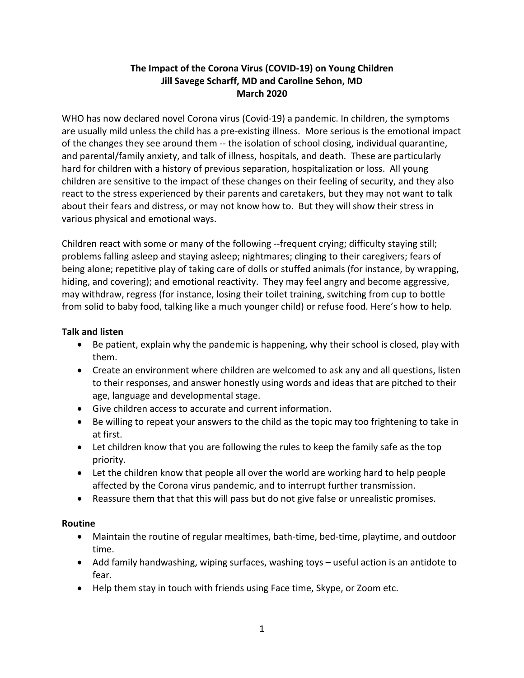# **The Impact of the Corona Virus (COVID-19) on Young Children Jill Savege Scharff, MD and Caroline Sehon, MD March 2020**

WHO has now declared novel Corona virus (Covid-19) a pandemic. In children, the symptoms are usually mild unless the child has a pre-existing illness. More serious is the emotional impact of the changes they see around them -- the isolation of school closing, individual quarantine, and parental/family anxiety, and talk of illness, hospitals, and death. These are particularly hard for children with a history of previous separation, hospitalization or loss. All young children are sensitive to the impact of these changes on their feeling of security, and they also react to the stress experienced by their parents and caretakers, but they may not want to talk about their fears and distress, or may not know how to. But they will show their stress in various physical and emotional ways.

Children react with some or many of the following --frequent crying; difficulty staying still; problems falling asleep and staying asleep; nightmares; clinging to their caregivers; fears of being alone; repetitive play of taking care of dolls or stuffed animals (for instance, by wrapping, hiding, and covering); and emotional reactivity. They may feel angry and become aggressive, may withdraw, regress (for instance, losing their toilet training, switching from cup to bottle from solid to baby food, talking like a much younger child) or refuse food. Here's how to help.

# **Talk and listen**

- Be patient, explain why the pandemic is happening, why their school is closed, play with them.
- Create an environment where children are welcomed to ask any and all questions, listen to their responses, and answer honestly using words and ideas that are pitched to their age, language and developmental stage.
- Give children access to accurate and current information.
- Be willing to repeat your answers to the child as the topic may too frightening to take in at first.
- Let children know that you are following the rules to keep the family safe as the top priority.
- Let the children know that people all over the world are working hard to help people affected by the Corona virus pandemic, and to interrupt further transmission.
- Reassure them that that this will pass but do not give false or unrealistic promises.

### **Routine**

- Maintain the routine of regular mealtimes, bath-time, bed-time, playtime, and outdoor time.
- Add family handwashing, wiping surfaces, washing toys useful action is an antidote to fear.
- Help them stay in touch with friends using Face time, Skype, or Zoom etc.